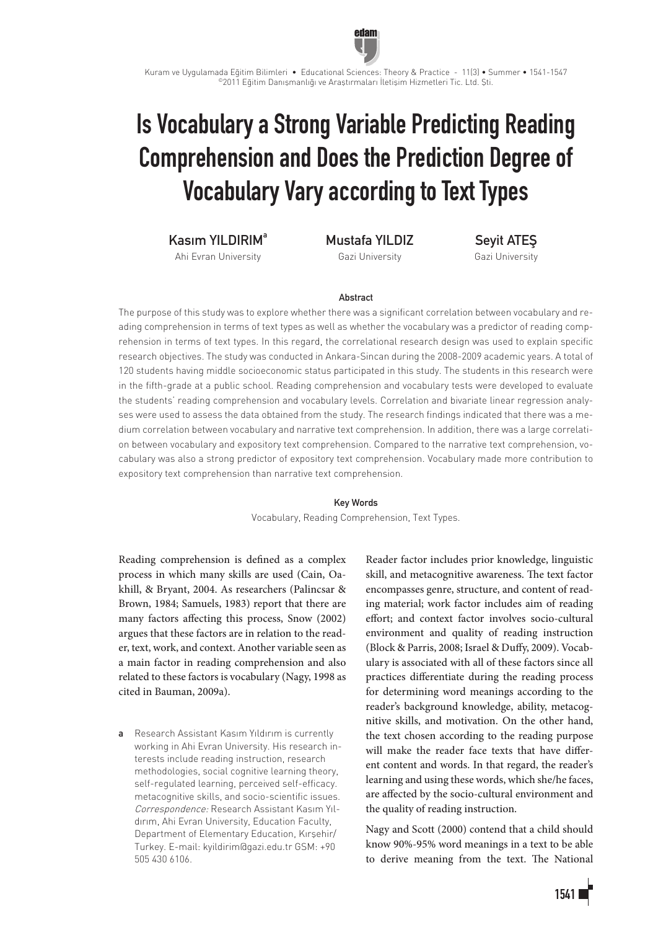

# Is Vocabulary a Strong Variable Predicting Reading Comprehension and Does the Prediction Degree of Vocabulary Vary according to Text Types

Kasım YII DIRIM<sup>a</sup>

Ahi Evran University

Mustafa YILDIZ

Gazi University

Seyit ATEŞ Gazi University

# Abstract

The purpose of this study was to explore whether there was a significant correlation between vocabulary and reading comprehension in terms of text types as well as whether the vocabulary was a predictor of reading comprehension in terms of text types. In this regard, the correlational research design was used to explain specific research objectives. The study was conducted in Ankara-Sincan during the 2008-2009 academic years. A total of 120 students having middle socioeconomic status participated in this study. The students in this research were in the fifth-grade at a public school. Reading comprehension and vocabulary tests were developed to evaluate the students' reading comprehension and vocabulary levels. Correlation and bivariate linear regression analyses were used to assess the data obtained from the study. The research findings indicated that there was a medium correlation between vocabulary and narrative text comprehension. In addition, there was a large correlation between vocabulary and expository text comprehension. Compared to the narrative text comprehension, vocabulary was also a strong predictor of expository text comprehension. Vocabulary made more contribution to expository text comprehension than narrative text comprehension.

#### Key Words

Vocabulary, Reading Comprehension, Text Types.

Reading comprehension is defined as a complex process in which many skills are used (Cain, Oakhill, & Bryant, 2004. As researchers (Palincsar & Brown, 1984; Samuels, 1983) report that there are many factors affecting this process, Snow (2002) argues that these factors are in relation to the reader, text, work, and context. Another variable seen as a main factor in reading comprehension and also related to these factors is vocabulary (Nagy, 1998 as cited in Bauman, 2009a).

a Research Assistant Kasım Yıldırım is currently working in Ahi Evran University. His research interests include reading instruction, research methodologies, social cognitive learning theory, self-regulated learning, perceived self-efficacy. metacognitive skills, and socio-scientific issues. Correspondence: Research Assistant Kasım Yıldırım, Ahi Evran University, Education Faculty, Department of Elementary Education, Kırşehir/ Turkey. E-mail: kyildirim@gazi.edu.tr GSM: +90 505 430 6106.

Reader factor includes prior knowledge, linguistic skill, and metacognitive awareness. The text factor encompasses genre, structure, and content of reading material; work factor includes aim of reading effort; and context factor involves socio-cultural environment and quality of reading instruction (Block & Parris, 2008; Israel & Duffy, 2009). Vocabulary is associated with all of these factors since all practices differentiate during the reading process for determining word meanings according to the reader's background knowledge, ability, metacognitive skills, and motivation. On the other hand, the text chosen according to the reading purpose will make the reader face texts that have different content and words. In that regard, the reader's learning and using these words, which she/he faces, are affected by the socio-cultural environment and the quality of reading instruction.

Nagy and Scott (2000) contend that a child should know 90%-95% word meanings in a text to be able to derive meaning from the text. The National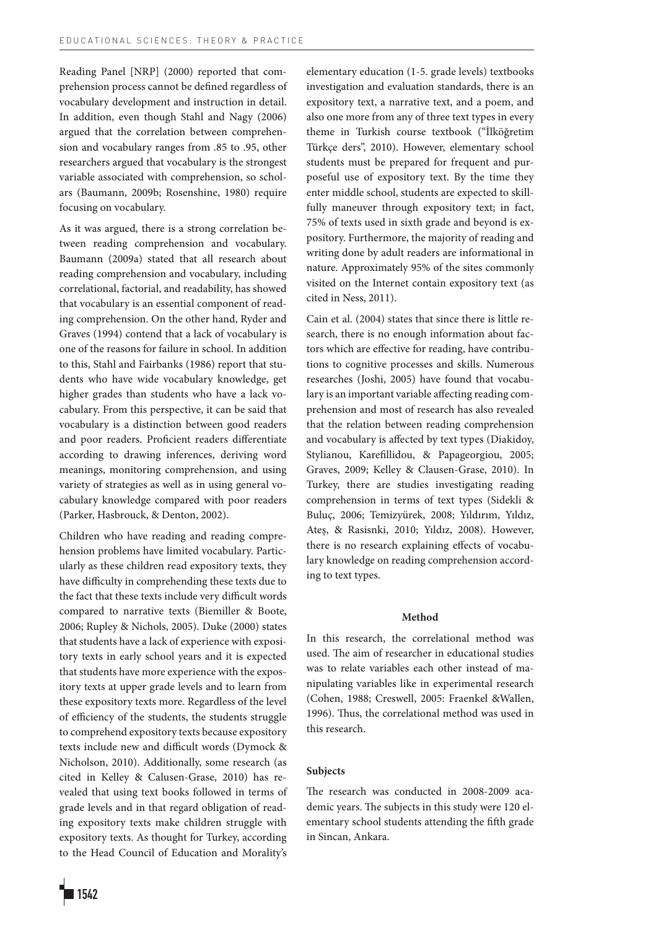Reading Panel [NRP] (2000) reported that comprehension process cannot be defined regardless of vocabulary development and instruction in detail. In addition, even though Stahl and Nagy (2006) argued that the correlation between comprehension and vocabulary ranges from .85 to .95, other researchers argued that vocabulary is the strongest variable associated with comprehension, so scholars (Baumann, 2009b; Rosenshine, 1980) require focusing on vocabulary.

As it was argued, there is a strong correlation between reading comprehension and vocabulary. Baumann (2009a) stated that all research about reading comprehension and vocabulary, including correlational, factorial, and readability, has showed that vocabulary is an essential component of reading comprehension. On the other hand, Ryder and Graves (1994) contend that a lack of vocabulary is one of the reasons for failure in school. In addition to this, Stahl and Fairbanks (1986) report that students who have wide vocabulary knowledge, get higher grades than students who have a lack vocabulary. From this perspective, it can be said that vocabulary is a distinction between good readers and poor readers. Proficient readers differentiate according to drawing inferences, deriving word meanings, monitoring comprehension, and using variety of strategies as well as in using general vocabulary knowledge compared with poor readers (Parker, Hasbrouck, & Denton, 2002).

Children who have reading and reading comprehension problems have limited vocabulary. Particularly as these children read expository texts, they have difficulty in comprehending these texts due to the fact that these texts include very difficult words compared to narrative texts (Biemiller & Boote, 2006; Rupley & Nichols, 2005). Duke (2000) states that students have a lack of experience with expository texts in early school years and it is expected that students have more experience with the expository texts at upper grade levels and to learn from these expository texts more. Regardless of the level of efficiency of the students, the students struggle to comprehend expository texts because expository texts include new and difficult words (Dymock & Nicholson, 2010). Additionally, some research (as cited in Kelley & Calusen-Grase, 2010) has revealed that using text books followed in terms of grade levels and in that regard obligation of reading expository texts make children struggle with expository texts. As thought for Turkey, according to the Head Council of Education and Morality's

elementary education (1-5. grade levels) textbooks investigation and evaluation standards, there is an expository text, a narrative text, and a poem, and also one more from any of three text types in every theme in Turkish course textbook ("İlköğretim Türkçe ders", 2010). However, elementary school students must be prepared for frequent and purposeful use of expository text. By the time they enter middle school, students are expected to skillfully maneuver through expository text; in fact, 75% of texts used in sixth grade and beyond is expository. Furthermore, the majority of reading and writing done by adult readers are informational in nature. Approximately 95% of the sites commonly visited on the Internet contain expository text (as cited in Ness, 2011).

Cain et al. (2004) states that since there is little research, there is no enough information about factors which are effective for reading, have contributions to cognitive processes and skills. Numerous researches (Joshi, 2005) have found that vocabulary is an important variable affecting reading comprehension and most of research has also revealed that the relation between reading comprehension and vocabulary is affected by text types (Diakidoy, Stylianou, Karefillidou, & Papageorgiou, 2005; Graves, 2009; Kelley & Clausen-Grase, 2010). In Turkey, there are studies investigating reading comprehension in terms of text types (Sidekli & Buluç, 2006; Temizyürek, 2008; Yıldırım, Yıldız, Ateş, & Rasisnki, 2010; Yıldız, 2008). However, there is no research explaining effects of vocabulary knowledge on reading comprehension according to text types.

# **Method**

In this research, the correlational method was used. The aim of researcher in educational studies was to relate variables each other instead of manipulating variables like in experimental research (Cohen, 1988; Creswell, 2005: Fraenkel &Wallen, 1996). Thus, the correlational method was used in this research.

## **Subjects**

The research was conducted in 2008-2009 academic years. The subjects in this study were 120 elementary school students attending the fifth grade in Sincan, Ankara.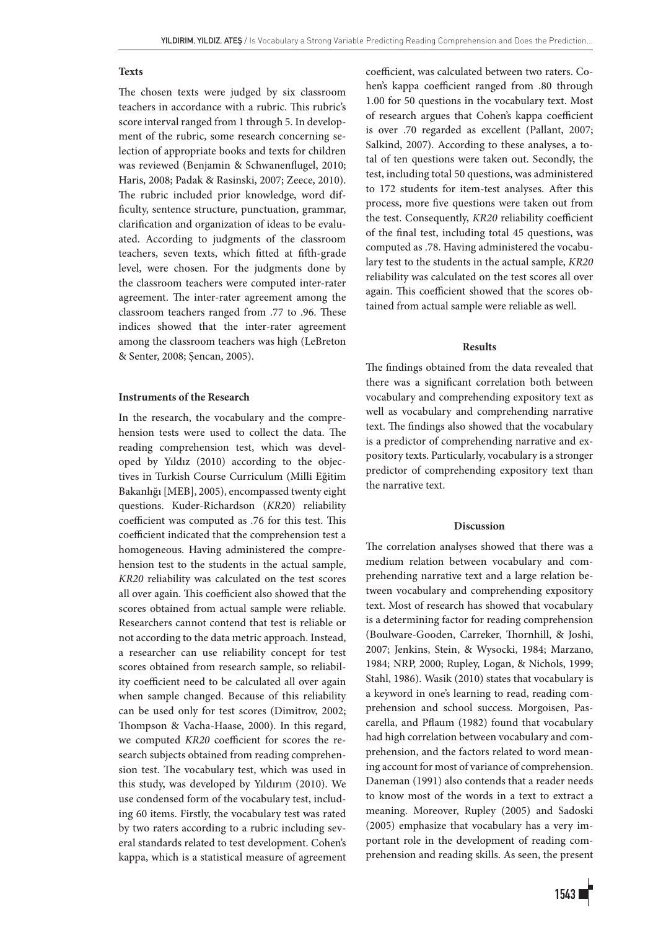# **Texts**

The chosen texts were judged by six classroom teachers in accordance with a rubric. This rubric's score interval ranged from 1 through 5. In development of the rubric, some research concerning selection of appropriate books and texts for children was reviewed (Benjamin & Schwanenflugel, 2010; Haris, 2008; Padak & Rasinski, 2007; Zeece, 2010). The rubric included prior knowledge, word difficulty, sentence structure, punctuation, grammar, clarification and organization of ideas to be evaluated. According to judgments of the classroom teachers, seven texts, which fitted at fifth-grade level, were chosen. For the judgments done by the classroom teachers were computed inter-rater agreement. The inter-rater agreement among the classroom teachers ranged from .77 to .96. These indices showed that the inter-rater agreement among the classroom teachers was high (LeBreton & Senter, 2008; Şencan, 2005).

# **Instruments of the Research**

In the research, the vocabulary and the comprehension tests were used to collect the data. The reading comprehension test, which was developed by Yıldız (2010) according to the objectives in Turkish Course Curriculum (Milli Eğitim Bakanlığı [MEB], 2005), encompassed twenty eight questions. Kuder-Richardson (*KR2*0) reliability coefficient was computed as .76 for this test. This coefficient indicated that the comprehension test a homogeneous. Having administered the comprehension test to the students in the actual sample, *KR20* reliability was calculated on the test scores all over again. This coefficient also showed that the scores obtained from actual sample were reliable. Researchers cannot contend that test is reliable or not according to the data metric approach. Instead, a researcher can use reliability concept for test scores obtained from research sample, so reliability coefficient need to be calculated all over again when sample changed. Because of this reliability can be used only for test scores (Dimitrov, 2002; Thompson & Vacha-Haase, 2000). In this regard, we computed *KR20* coefficient for scores the research subjects obtained from reading comprehension test. The vocabulary test, which was used in this study, was developed by Yıldırım (2010). We use condensed form of the vocabulary test, including 60 items. Firstly, the vocabulary test was rated by two raters according to a rubric including several standards related to test development. Cohen's kappa, which is a statistical measure of agreement coefficient, was calculated between two raters. Cohen's kappa coefficient ranged from .80 through 1.00 for 50 questions in the vocabulary text. Most of research argues that Cohen's kappa coefficient is over .70 regarded as excellent (Pallant, 2007; Salkind, 2007). According to these analyses, a total of ten questions were taken out. Secondly, the test, including total 50 questions, was administered to 172 students for item-test analyses. After this process, more five questions were taken out from the test. Consequently, *KR20* reliability coefficient of the final test, including total 45 questions, was computed as .78. Having administered the vocabulary test to the students in the actual sample, *KR20* reliability was calculated on the test scores all over again. This coefficient showed that the scores obtained from actual sample were reliable as well.

## **Results**

The findings obtained from the data revealed that there was a significant correlation both between vocabulary and comprehending expository text as well as vocabulary and comprehending narrative text. The findings also showed that the vocabulary is a predictor of comprehending narrative and expository texts. Particularly, vocabulary is a stronger predictor of comprehending expository text than the narrative text.

# **Discussion**

The correlation analyses showed that there was a medium relation between vocabulary and comprehending narrative text and a large relation between vocabulary and comprehending expository text. Most of research has showed that vocabulary is a determining factor for reading comprehension (Boulware-Gooden, Carreker, Thornhill, & Joshi, 2007; Jenkins, Stein, & Wysocki, 1984; Marzano, 1984; NRP, 2000; Rupley, Logan, & Nichols, 1999; Stahl, 1986). Wasik (2010) states that vocabulary is a keyword in one's learning to read, reading comprehension and school success. Morgoisen, Pascarella, and Pflaum (1982) found that vocabulary had high correlation between vocabulary and comprehension, and the factors related to word meaning account for most of variance of comprehension. Daneman (1991) also contends that a reader needs to know most of the words in a text to extract a meaning. Moreover, Rupley (2005) and Sadoski (2005) emphasize that vocabulary has a very important role in the development of reading comprehension and reading skills. As seen, the present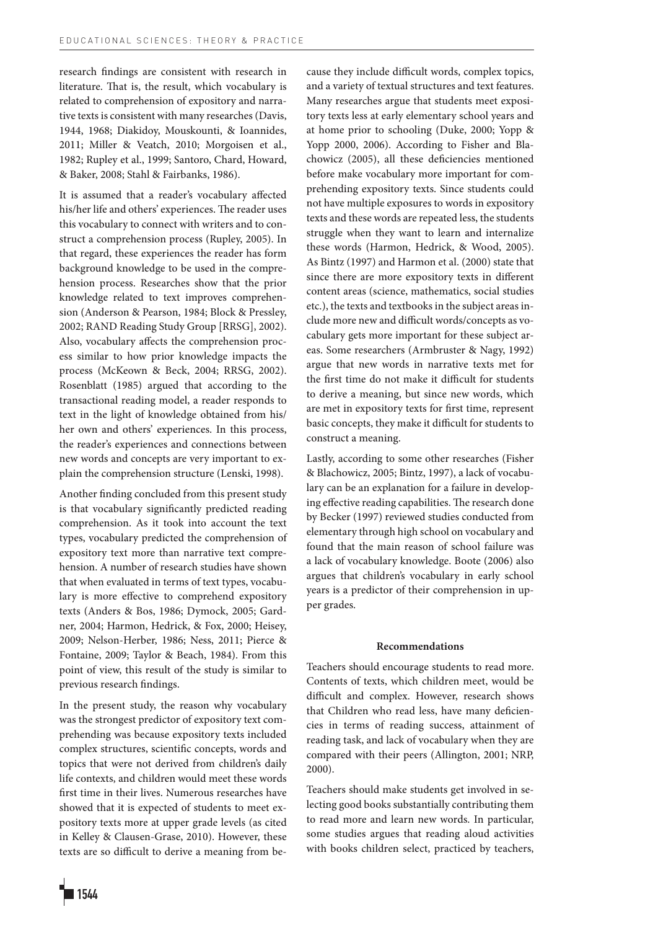research findings are consistent with research in literature. That is, the result, which vocabulary is related to comprehension of expository and narrative texts is consistent with many researches (Davis, 1944, 1968; Diakidoy, Mouskounti, & Ioannides, 2011; Miller & Veatch, 2010; Morgoisen et al., 1982; Rupley et al., 1999; Santoro, Chard, Howard, & Baker, 2008; Stahl & Fairbanks, 1986).

It is assumed that a reader's vocabulary affected his/her life and others' experiences. The reader uses this vocabulary to connect with writers and to construct a comprehension process (Rupley, 2005). In that regard, these experiences the reader has form background knowledge to be used in the comprehension process. Researches show that the prior knowledge related to text improves comprehension (Anderson & Pearson, 1984; Block & Pressley, 2002; RAND Reading Study Group [RRSG], 2002). Also, vocabulary affects the comprehension process similar to how prior knowledge impacts the process (McKeown & Beck, 2004; RRSG, 2002). Rosenblatt (1985) argued that according to the transactional reading model, a reader responds to text in the light of knowledge obtained from his/ her own and others' experiences. In this process, the reader's experiences and connections between new words and concepts are very important to explain the comprehension structure (Lenski, 1998).

Another finding concluded from this present study is that vocabulary significantly predicted reading comprehension. As it took into account the text types, vocabulary predicted the comprehension of expository text more than narrative text comprehension. A number of research studies have shown that when evaluated in terms of text types, vocabulary is more effective to comprehend expository texts (Anders & Bos, 1986; Dymock, 2005; Gardner, 2004; Harmon, Hedrick, & Fox, 2000; Heisey, 2009; Nelson-Herber, 1986; Ness, 2011; Pierce & Fontaine, 2009; Taylor & Beach, 1984). From this point of view, this result of the study is similar to previous research findings.

In the present study, the reason why vocabulary was the strongest predictor of expository text comprehending was because expository texts included complex structures, scientific concepts, words and topics that were not derived from children's daily life contexts, and children would meet these words first time in their lives. Numerous researches have showed that it is expected of students to meet expository texts more at upper grade levels (as cited in Kelley & Clausen-Grase, 2010). However, these texts are so difficult to derive a meaning from because they include difficult words, complex topics, and a variety of textual structures and text features. Many researches argue that students meet expository texts less at early elementary school years and at home prior to schooling (Duke, 2000; Yopp & Yopp 2000, 2006). According to Fisher and Blachowicz (2005), all these deficiencies mentioned before make vocabulary more important for comprehending expository texts. Since students could not have multiple exposures to words in expository texts and these words are repeated less, the students struggle when they want to learn and internalize these words (Harmon, Hedrick, & Wood, 2005). As Bintz (1997) and Harmon et al. (2000) state that since there are more expository texts in different content areas (science, mathematics, social studies etc.), the texts and textbooks in the subject areas include more new and difficult words/concepts as vocabulary gets more important for these subject areas. Some researchers (Armbruster & Nagy, 1992) argue that new words in narrative texts met for the first time do not make it difficult for students to derive a meaning, but since new words, which are met in expository texts for first time, represent basic concepts, they make it difficult for students to construct a meaning.

Lastly, according to some other researches (Fisher & Blachowicz, 2005; Bintz, 1997), a lack of vocabulary can be an explanation for a failure in developing effective reading capabilities. The research done by Becker (1997) reviewed studies conducted from elementary through high school on vocabulary and found that the main reason of school failure was a lack of vocabulary knowledge. Boote (2006) also argues that children's vocabulary in early school years is a predictor of their comprehension in upper grades.

## **Recommendations**

Teachers should encourage students to read more. Contents of texts, which children meet, would be difficult and complex. However, research shows that Children who read less, have many deficiencies in terms of reading success, attainment of reading task, and lack of vocabulary when they are compared with their peers (Allington, 2001; NRP, 2000).

Teachers should make students get involved in selecting good books substantially contributing them to read more and learn new words. In particular, some studies argues that reading aloud activities with books children select, practiced by teachers,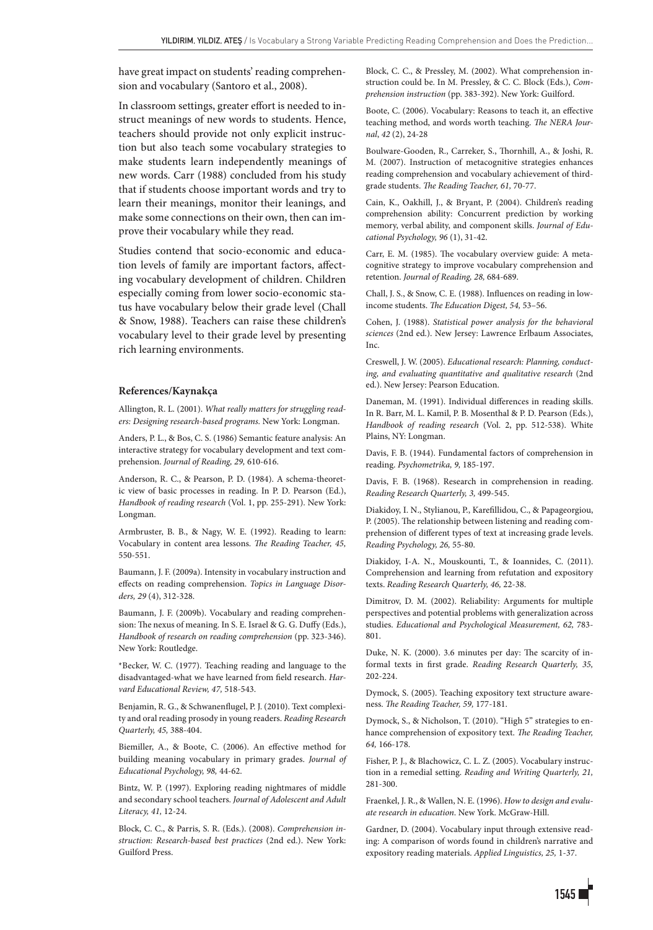have great impact on students' reading comprehension and vocabulary (Santoro et al., 2008).

In classroom settings, greater effort is needed to instruct meanings of new words to students. Hence, teachers should provide not only explicit instruction but also teach some vocabulary strategies to make students learn independently meanings of new words. Carr (1988) concluded from his study that if students choose important words and try to learn their meanings, monitor their leanings, and make some connections on their own, then can improve their vocabulary while they read.

Studies contend that socio-economic and education levels of family are important factors, affecting vocabulary development of children. Children especially coming from lower socio-economic status have vocabulary below their grade level (Chall & Snow, 1988). Teachers can raise these children's vocabulary level to their grade level by presenting rich learning environments.

## **References/Kaynakça**

Allington, R. L. (2001). *What really matters for struggling readers: Designing research-based programs.* New York: Longman.

Anders, P. L., & Bos, C. S. (1986) Semantic feature analysis: An interactive strategy for vocabulary development and text comprehension. *Journal of Reading, 29,* 610-616.

Anderson, R. C., & Pearson, P. D. (1984). A schema-theoretic view of basic processes in reading. In P. D. Pearson (Ed.), *Handbook of reading research* (Vol. 1, pp. 255-291). New York: Longman.

Armbruster, B. B., & Nagy, W. E. (1992). Reading to learn: Vocabulary in content area lessons. *The Reading Teacher, 45,* 550-551.

Baumann, J. F. (2009a). Intensity in vocabulary instruction and effects on reading comprehension. *Topics in Language Disorders, 29* (4), 312-328.

Baumann, J. F. (2009b). Vocabulary and reading comprehension: The nexus of meaning. In S. E. Israel & G. G. Duffy (Eds.), *Handbook of research on reading comprehension* (pp. 323-346). New York: Routledge.

\*Becker, W. C. (1977). Teaching reading and language to the disadvantaged-what we have learned from field research. *Harvard Educational Review, 47,* 518-543.

Benjamin, R. G., & Schwanenflugel, P. J. (2010). Text complexity and oral reading prosody in young readers. *Reading Research Quarterly, 45,* 388-404.

Biemiller, A., & Boote, C. (2006). An effective method for building meaning vocabulary in primary grades. *Journal of Educational Psychology, 98,* 44-62.

Bintz, W. P. (1997). Exploring reading nightmares of middle and secondary school teachers. *Journal of Adolescent and Adult Literacy, 41,* 12-24.

Block, C. C., & Parris, S. R. (Eds.). (2008). *Comprehension instruction: Research-based best practices* (2nd ed.). New York: Guilford Press.

Block, C. C., & Pressley, M. (2002). What comprehension instruction could be. In M. Pressley, & C. C. Block (Eds.), *Comprehension instruction* (pp. 383-392). New York: Guilford.

Boote, C. (2006). Vocabulary: Reasons to teach it, an effective teaching method, and words worth teaching. *The NERA Journal*, *42* (2), 24-28

Boulware-Gooden, R., Carreker, S., Thornhill, A., & Joshi, R. M. (2007). Instruction of metacognitive strategies enhances reading comprehension and vocabulary achievement of thirdgrade students. *The Reading Teacher, 61,* 70-77.

Cain, K., Oakhill, J., & Bryant, P. (2004). Children's reading comprehension ability: Concurrent prediction by working memory, verbal ability, and component skills. *Journal of Educational Psychology, 96* (1), 31-42.

Carr, E. M. (1985). The vocabulary overview guide: A metacognitive strategy to improve vocabulary comprehension and retention. *Journal of Reading, 28,* 684-689.

Chall, J. S., & Snow, C. E. (1988). Influences on reading in lowincome students. *The Education Digest, 54,* 53–56.

Cohen, J. (1988). *Statistical power analysis for the behavioral sciences* (2nd ed.). New Jersey: Lawrence Erlbaum Associates, Inc.

Creswell, J. W. (2005). *Educational research: Planning, conducting, and evaluating quantitative and qualitative research* (2nd ed.). New Jersey: Pearson Education.

Daneman, M. (1991). Individual differences in reading skills. In R. Barr, M. L. Kamil, P. B. Mosenthal & P. D. Pearson (Eds.), *Handbook of reading research* (Vol. 2, pp. 512-538). White Plains, NY: Longman.

Davis, F. B. (1944). Fundamental factors of comprehension in reading. *Psychometrika, 9,* 185-197.

Davis, F. B. (1968). Research in comprehension in reading. *Reading Research Quarterly, 3,* 499-545.

Diakidoy, I. N., Stylianou, P., Karefillidou, C., & Papageorgiou, P. (2005). The relationship between listening and reading comprehension of different types of text at increasing grade levels. *Reading Psychology, 26,* 55-80.

Diakidoy, I-A. N., Mouskounti, T., & Ioannides, C. (2011). Comprehension and learning from refutation and expository texts. *Reading Research Quarterly, 46,* 22-38.

Dimitrov, D. M. (2002). Reliability: Arguments for multiple perspectives and potential problems with generalization across studies. *Educational and Psychological Measurement, 62,* 783- 801.

Duke, N. K. (2000). 3.6 minutes per day: The scarcity of informal texts in first grade. *Reading Research Quarterly, 35,*  202-224.

Dymock, S. (2005). Teaching expository text structure awareness. *The Reading Teacher, 59,* 177-181.

Dymock, S., & Nicholson, T. (2010). "High 5" strategies to enhance comprehension of expository text. *The Reading Teacher, 64,* 166-178.

Fisher, P. J., & Blachowicz, C. L. Z. (2005). Vocabulary instruction in a remedial setting. *Reading and Writing Quarterly, 21,* 281-300.

Fraenkel, J. R., & Wallen, N. E. (1996). *How to design and evaluate research in education*. New York. McGraw-Hill.

Gardner, D. (2004). Vocabulary input through extensive reading: A comparison of words found in children's narrative and expository reading materials. *Applied Linguistics, 25,* 1-37.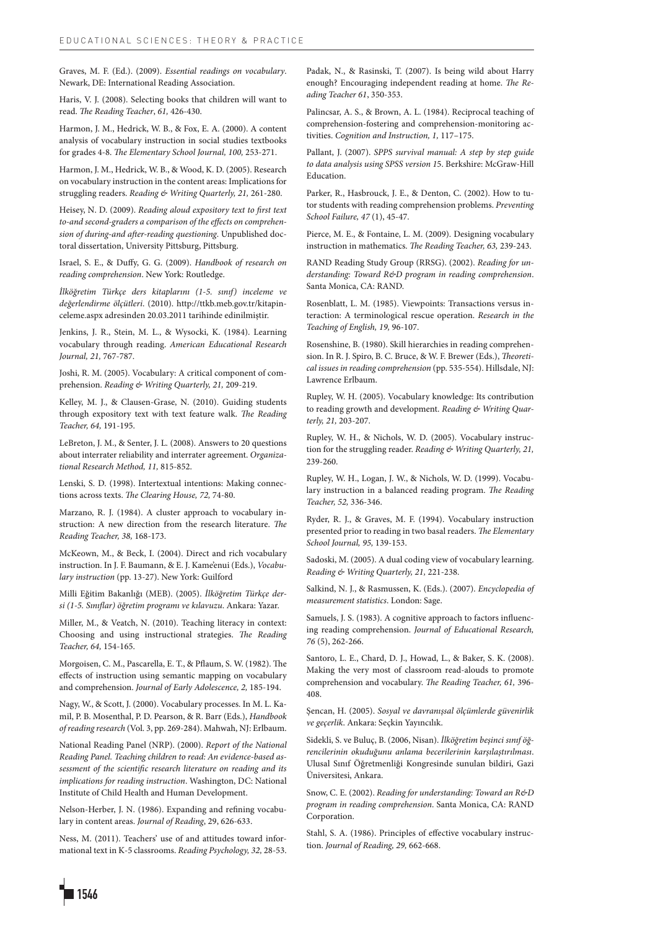Graves, M. F. (Ed.). (2009). *Essential readings on vocabulary*. Newark, DE: International Reading Association.

Haris, V. J. (2008). Selecting books that children will want to read. *The Reading Teacher*, *61,* 426-430.

Harmon, J. M., Hedrick, W. B., & Fox, E. A. (2000). A content analysis of vocabulary instruction in social studies textbooks for grades 4-8. *The Elementary School Journal, 100,* 253-271.

Harmon, J. M., Hedrick, W. B., & Wood, K. D. (2005). Research on vocabulary instruction in the content areas: Implications for struggling readers. *Reading & Writing Quarterly, 21,* 261-280.

Heisey, N. D. (2009). *Reading aloud expository text to first text to-and second-graders a comparison of the effects on comprehension of during-and after-reading questioning*. Unpublished doctoral dissertation, University Pittsburg, Pittsburg.

Israel, S. E., & Duffy, G. G. (2009). *Handbook of research on reading comprehension*. New York: Routledge.

*İlköğretim Türkçe ders kitaplarını (1-5. sınıf) inceleme ve değerlendirme ölçütleri*. (2010). http://ttkb.meb.gov.tr/kitapinceleme.aspx adresinden 20.03.2011 tarihinde edinilmiştir.

Jenkins, J. R., Stein, M. L., & Wysocki, K. (1984). Learning vocabulary through reading. *American Educational Research Journal, 21,* 767-787.

Joshi, R. M. (2005). Vocabulary: A critical component of comprehension. *Reading & Writing Quarterly, 21,* 209-219.

Kelley, M. J., & Clausen-Grase, N. (2010). Guiding students through expository text with text feature walk. *The Reading Teacher, 64,* 191-195.

LeBreton, J. M., & Senter, J. L. (2008). Answers to 20 questions about interrater reliability and interrater agreement. *Organizational Research Method, 11,* 815-852.

Lenski, S. D. (1998). Intertextual intentions: Making connections across texts. *The Clearing House, 72,* 74-80.

Marzano, R. J. (1984). A cluster approach to vocabulary instruction: A new direction from the research literature. *The Reading Teacher, 38,* 168-173.

McKeown, M., & Beck, I. (2004). Direct and rich vocabulary instruction. In J. F. Baumann, & E. J. Kame'enui (Eds.), *Vocabulary instruction* (pp. 13-27). New York: Guilford

Milli Eğitim Bakanlığı (MEB). (2005). *İlköğretim Türkçe dersi (1-5. Sınıflar) öğretim programı ve kılavuzu*. Ankara: Yazar.

Miller, M., & Veatch, N. (2010). Teaching literacy in context: Choosing and using instructional strategies. *The Reading Teacher, 64,* 154-165.

Morgoisen, C. M., Pascarella, E. T., & Pflaum, S. W. (1982). The effects of instruction using semantic mapping on vocabulary and comprehension. *Journal of Early Adolescence, 2,* 185-194.

Nagy, W., & Scott, J. (2000). Vocabulary processes. In M. L. Kamil, P. B. Mosenthal, P. D. Pearson, & R. Barr (Eds.), *Handbook of reading research* (Vol. 3, pp. 269-284). Mahwah, NJ: Erlbaum.

National Reading Panel (NRP). (2000). *Report of the National Reading Panel. Teaching children to read: An evidence-based assessment of the scientific research literature on reading and its implications for reading instruction*. Washington, DC: National Institute of Child Health and Human Development.

Nelson-Herber, J. N. (1986). Expanding and refining vocabulary in content areas. *Journal of Reading*, 29, 626-633.

Ness, M. (2011). Teachers' use of and attitudes toward informational text in K-5 classrooms. *Reading Psychology, 32,* 28-53. Padak, N., & Rasinski, T. (2007). Is being wild about Harry enough? Encouraging independent reading at home. *The Reading Teacher 61*, 350-353.

Palincsar, A. S., & Brown, A. L. (1984). Reciprocal teaching of comprehension-fostering and comprehension-monitoring activities. *Cognition and Instruction, 1,* 117–175.

Pallant, J. (2007). *SPPS survival manual: A step by step guide to data analysis using SPSS version 1*5. Berkshire: McGraw-Hill Education.

Parker, R., Hasbrouck, J. E., & Denton, C. (2002). How to tutor students with reading comprehension problems. *Preventing School Failure, 47* (1), 45-47.

Pierce, M. E., & Fontaine, L. M. (2009). Designing vocabulary instruction in mathematics. *The Reading Teacher, 63,* 239-243.

RAND Reading Study Group (RRSG). (2002). *Reading for understanding: Toward R&D program in reading comprehension*. Santa Monica, CA: RAND.

Rosenblatt, L. M. (1985). Viewpoints: Transactions versus interaction: A terminological rescue operation. *Research in the Teaching of English, 19,* 96-107.

Rosenshine, B. (1980). Skill hierarchies in reading comprehension. In R. J. Spiro, B. C. Bruce, & W. F. Brewer (Eds.), *Theoretical issues in reading comprehension* (pp. 535-554). Hillsdale, NJ: Lawrence Erlbaum.

Rupley, W. H. (2005). Vocabulary knowledge: Its contribution to reading growth and development. *Reading & Writing Quarterly, 21,* 203-207.

Rupley, W. H., & Nichols, W. D. (2005). Vocabulary instruction for the struggling reader. *Reading & Writing Quarterly, 21,* 239-260.

Rupley, W. H., Logan, J. W., & Nichols, W. D. (1999). Vocabulary instruction in a balanced reading program. *The Reading Teacher, 52,* 336-346.

Ryder, R. J., & Graves, M. F. (1994). Vocabulary instruction presented prior to reading in two basal readers. *The Elementary School Journal, 95,* 139-153.

Sadoski, M. (2005). A dual coding view of vocabulary learning. *Reading & Writing Quarterly, 21,* 221-238.

Salkind, N. J., & Rasmussen, K. (Eds.). (2007). *Encyclopedia of measurement statistics*. London: Sage.

Samuels, J. S. (1983). A cognitive approach to factors influencing reading comprehension. *Journal of Educational Research, 76* (5), 262-266.

Santoro, L. E., Chard, D. J., Howad, L., & Baker, S. K. (2008). Making the very most of classroom read-alouds to promote comprehension and vocabulary. *The Reading Teacher, 61,* 396- 408.

Şencan, H. (2005). *Sosyal ve davranışsal ölçümlerde güvenirlik ve geçerlik*. Ankara: Seçkin Yayıncılık.

Sidekli, S. ve Buluç, B. (2006, Nisan). *İlköğretim beşinci sınıf öğrencilerinin okuduğunu anlama becerilerinin karşılaştırılması*. Ulusal Sınıf Öğretmenliği Kongresinde sunulan bildiri, Gazi Üniversitesi, Ankara.

Snow, C. E. (2002). *Reading for understanding: Toward an R&D program in reading comprehension*. Santa Monica, CA: RAND Corporation.

Stahl, S. A. (1986). Principles of effective vocabulary instruction. *Journal of Reading, 29,* 662-668.